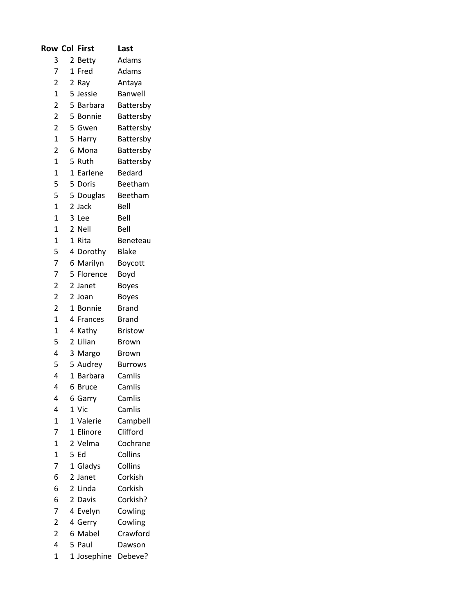| <b>Row Col</b>          |              | First          | Last           |
|-------------------------|--------------|----------------|----------------|
| 3                       | 2            | <b>Betty</b>   | Adams          |
| $\overline{7}$          | $\mathbf{1}$ | Fred           | Adams          |
| $\overline{c}$          | 2            | Ray            | Antaya         |
| $\mathbf{1}$            |              | 5 Jessie       | Banwell        |
| $\overline{2}$          |              | 5 Barbara      | Battersby      |
| $\overline{2}$          |              | 5 Bonnie       | Battersby      |
| $\overline{2}$          |              | 5 Gwen         | Battersby      |
| $\mathbf{1}$            |              | 5 Harry        | Battersby      |
| $\overline{2}$          | 6            | Mona           | Battersby      |
| $\overline{1}$          |              | 5 Ruth         | Battersby      |
| $\mathbf{1}$            |              | 1 Earlene      | <b>Bedard</b>  |
| 5                       |              | 5 Doris        | Beetham        |
| 5                       | 5            | Douglas        | Beetham        |
| $\overline{1}$          |              | 2 Jack         | Bell           |
| $\overline{1}$          |              | 3 Lee          | Bell           |
| $\mathbf{1}$            |              | 2 Nell         | Bell           |
| $\overline{1}$          | $\mathbf{1}$ | Rita           | Beneteau       |
| 5                       | 4            | Dorothy        | <b>Blake</b>   |
| $\overline{7}$          |              | 6 Marilyn      | Boycott        |
| 7                       |              | 5 Florence     | Boyd           |
| $\overline{2}$          |              | 2 Janet        | <b>Boyes</b>   |
| $\overline{2}$          |              | 2 Joan         | <b>Boyes</b>   |
| $\overline{c}$          | $\mathbf{1}$ | <b>Bonnie</b>  | <b>Brand</b>   |
| $\overline{1}$          |              | 4 Frances      | <b>Brand</b>   |
| $\overline{1}$          | 4            | Kathy          | <b>Bristow</b> |
| 5                       | $\mathbf{2}$ | Lilian         | <b>Brown</b>   |
| 4                       | 3            | Margo          | <b>Brown</b>   |
| 5                       |              | 5 Audrey       | <b>Burrows</b> |
| 4                       | $\mathbf{1}$ | <b>Barbara</b> | Camlis         |
| 4                       | 6            | <b>Bruce</b>   | Camlis         |
| 4                       | 6            | Garry          | Camlis         |
| 4                       |              | 1 Vic          | Camlis         |
| $\mathbf 1$             |              | 1 Valerie      | Campbell       |
| 7                       |              | 1 Elinore      | Clifford       |
| $\mathbf{1}$            |              | 2 Velma        | Cochrane       |
| $\overline{1}$          |              | 5 Ed           | Collins        |
| 7                       |              | 1 Gladys       | Collins        |
| 6                       |              | 2 Janet        | Corkish        |
| 6                       |              | 2 Linda        | Corkish        |
| 6                       |              | 2 Davis        | Corkish?       |
| 7                       |              | 4 Evelyn       | Cowling        |
| $\overline{\mathbf{c}}$ |              | 4 Gerry        | Cowling        |
| $\overline{2}$          |              | 6 Mabel        | Crawford       |
| 4                       |              | 5 Paul         | Dawson         |
| $\mathbf{1}$            |              | 1 Josephine    | Debeve?        |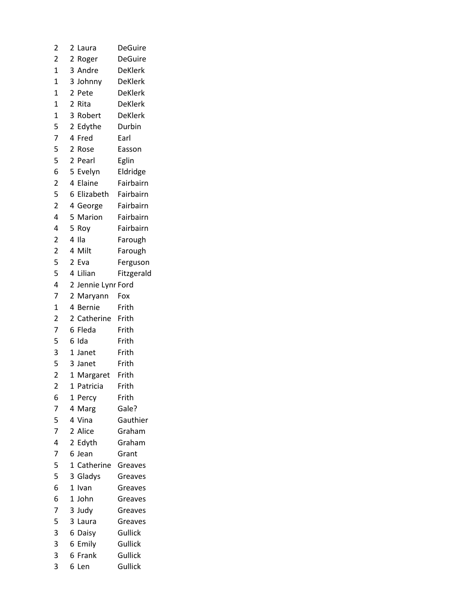| 2                        | 2              | Laura              | <b>DeGuire</b> |
|--------------------------|----------------|--------------------|----------------|
| 2                        |                | 2 Roger            | <b>DeGuire</b> |
| $\overline{1}$           |                | 3 Andre            | <b>DeKlerk</b> |
| $\overline{1}$           |                | 3 Johnny           | <b>DeKlerk</b> |
| $\overline{1}$           |                | 2 Pete             | <b>DeKlerk</b> |
| $\mathbf{1}$             |                | 2 Rita             | <b>DeKlerk</b> |
| 1                        |                | 3 Robert           | DeKlerk        |
|                          |                | 2 Edythe           | Durbin         |
| $\frac{5}{7}$            |                | 4 Fred             | Earl           |
| 5                        | $\overline{2}$ | Rose               | Easson         |
| 5                        |                | 2 Pearl            | Eglin          |
| 6                        |                | 5 Evelyn           | Eldridge       |
| $\overline{c}$           |                | 4 Elaine           | Fairbairn      |
| 5                        |                | 6 Elizabeth        | Fairbairn      |
| $\overline{2}$           |                | 4 George           | Fairbairn      |
| 4                        |                | 5 Marion           | Fairbairn      |
| 4                        | 5              | Roy                | Fairbairn      |
| $\overline{\mathbf{c}}$  |                | 4 Ila              | Farough        |
| $\overline{\mathbf{c}}$  | 4              | Milt               | Farough        |
| 5                        |                | 2 Eva              | Ferguson       |
| $\overline{\phantom{a}}$ |                | 4 Lilian           | Fitzgerald     |
| $\overline{\mathbf{4}}$  |                | 2 Jennie Lynr Ford |                |
| 7                        |                | 2 Maryann          | Fox            |
| $\mathbf 1$              | 4              | <b>Bernie</b>      | Frith          |
| 2                        |                | 2 Catherine        | Frith          |
| 7                        |                | 6 Fleda            | Frith          |
| 5                        |                | 6 Ida              | Frith          |
| 3                        |                | 1 Janet            | Frith          |
| 5                        |                | 3 Janet            | Frith          |
| $\overline{2}$           |                | 1 Margaret         | Frith          |
| $\overline{\mathbf{c}}$  | 1              | Patricia           | Frith          |
| 6                        | 1              | Percy              | Frith          |
| 7                        | 4              | Marg               | Gale?          |
| $\frac{5}{7}$            | 4              | Vina               | Gauthier       |
|                          |                | 2 Alice            | Graham         |
| 4                        |                | 2 Edyth            | Graham         |
| $\overline{7}$           |                | 6 Jean             | Grant          |
| 5                        | 1              | Catherine          | Greaves        |
| $\overline{5}$           |                | 3 Gladys           | Greaves        |
| 6                        | $\mathbf 1$    | Ivan               | Greaves        |
| 6                        | $\mathbf{1}$   | John               | Greaves        |
| 7                        |                | 3 Judy             | Greaves        |
| 5                        | 3              | Laura              | Greaves        |
| 3                        |                | 6 Daisy            | Gullick        |
| 3                        | 6              | Emily              | Gullick        |
| 3                        | 6              | Frank              | Gullick        |
| 3                        | 6.             | Len                | Gullick        |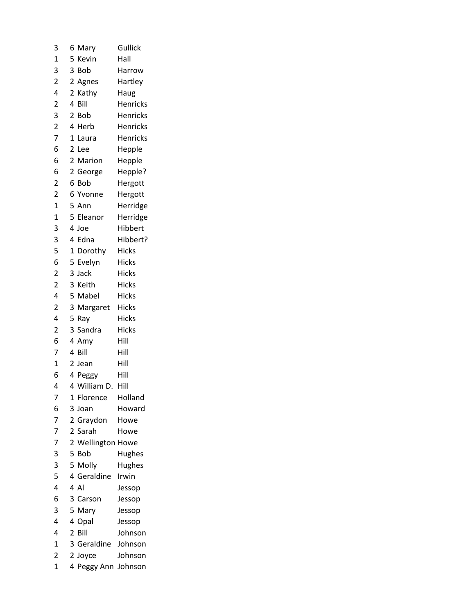| 3                       |   | 6 Mary              | Gullick         |
|-------------------------|---|---------------------|-----------------|
| 1                       | 5 | Kevin               | Hall            |
| 3                       |   | 3 Bob               | Harrow          |
| 2                       |   | 2 Agnes             | Hartley         |
| 4                       |   | 2 Kathy             | Haug            |
| $\overline{2}$          |   | 4 Bill              | <b>Henricks</b> |
| 3                       |   | 2 Bob               | <b>Henricks</b> |
| $\overline{c}$          |   | 4 Herb              | <b>Henricks</b> |
| 7                       | 1 | Laura               | <b>Henricks</b> |
| 6                       |   | 2 Lee               | Hepple          |
| 6                       |   | 2 Marion            | Hepple          |
| 6                       |   | 2 George            | Hepple?         |
| 2                       |   | 6 Bob               | Hergott         |
| 2                       |   | 6 Yvonne            | Hergott         |
| $\overline{1}$          |   | 5 Ann               | Herridge        |
| $\overline{1}$          |   | 5 Eleanor           | Herridge        |
| 3                       |   | 4 Joe               | Hibbert         |
| 3                       |   | 4 Edna              | Hibbert?        |
| 5                       |   | 1 Dorothy           | <b>Hicks</b>    |
| 6                       |   | 5 Evelyn            | <b>Hicks</b>    |
| $\overline{\mathbf{c}}$ |   | 3 Jack              | <b>Hicks</b>    |
| $\overline{2}$          |   | 3 Keith             | <b>Hicks</b>    |
| 4                       |   | 5 Mabel             | <b>Hicks</b>    |
| $\overline{2}$          |   | 3 Margaret          | <b>Hicks</b>    |
| 4                       |   | 5 Ray               | <b>Hicks</b>    |
| $\overline{\mathbf{c}}$ |   | 3 Sandra            | <b>Hicks</b>    |
| 6                       |   | 4 Amy               | Hill            |
| 7                       |   | 4 Bill              | Hill            |
| $\mathbf 1$             |   | 2 Jean              | Hill            |
| 6                       |   | 4 Peggy             | Hill            |
| 4                       |   | 4 William D         | Hill            |
| 7                       |   | 1 Florence          | Holland         |
| 6                       | 3 | Joan                | Howard          |
| 7                       |   | 2 Graydon           | Howe            |
| 7                       |   | 2 Sarah             | Howe            |
| 7                       |   | 2 Wellington Howe   |                 |
| 3                       |   | 5 Bob               | Hughes          |
| 3                       |   | 5 Molly             | Hughes          |
| 5                       |   | 4 Geraldine         | Irwin           |
| 4                       |   | 4 Al                | Jessop          |
| 6                       |   | 3 Carson            | Jessop          |
| 3                       |   | 5 Mary              | Jessop          |
| 4                       |   | 4 Opal              | Jessop          |
| 4                       |   | 2 Bill              | Johnson         |
| $\overline{1}$          |   | 3 Geraldine         | Johnson         |
| 2                       |   | 2 Joyce             | Johnson         |
| 1                       |   | 4 Peggy Ann Johnson |                 |
|                         |   |                     |                 |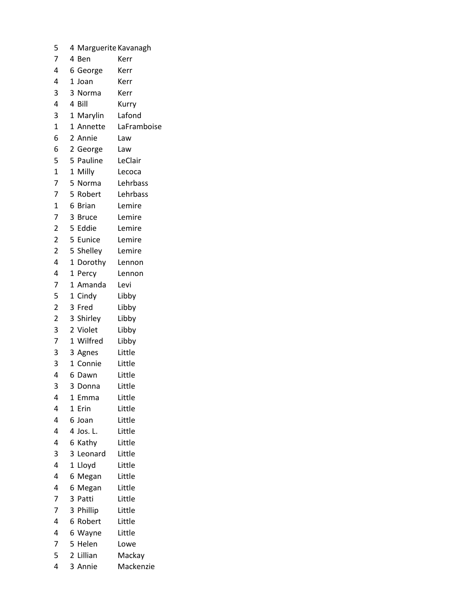| 5                       | 4 Marguerite Kavanagh |             |
|-------------------------|-----------------------|-------------|
| 7                       | 4 Ben                 | Kerr        |
| 4                       | 6 George              | Kerr        |
| 4                       | 1 Joan                | Kerr        |
| 3                       | 3 Norma               | Kerr        |
| 4                       | 4 Bill                | Kurry       |
| 3                       | 1 Marylin             | Lafond      |
| $\overline{1}$          | 1 Annette             | LaFramboise |
| 6                       | 2 Annie               | Law         |
| 6                       | 2 George              | Law         |
| 5                       | 5 Pauline             | LeClair     |
| $\mathbf{1}$            | $\mathbf 1$<br>Milly  | Lecoca      |
| 7                       | 5 Norma               | Lehrbass    |
| 7                       | 5 Robert              | Lehrbass    |
| $\mathbf{1}$            | 6 Brian               | Lemire      |
| 7                       | 3 Bruce               | Lemire      |
| $\overline{\mathbf{c}}$ | 5 Eddie               | Lemire      |
| $\overline{2}$          | 5 Eunice              | Lemire      |
| $\overline{\mathbf{c}}$ | 5 Shelley             | Lemire      |
| 4                       | 1 Dorothy             | Lennon      |
| 4                       | 1 Percy               | Lennon      |
| 7                       | 1 Amanda              | Levi        |
| 5                       | 1 Cindy               | Libby       |
| $\overline{c}$          | 3 Fred                | Libby       |
| $\overline{c}$          | 3 Shirley             | Libby       |
| 3                       | 2 Violet              | Libby       |
| $\overline{7}$          | 1 Wilfred             | Libby       |
| 3                       | 3 Agnes               | Little      |
| 3                       | 1 Connie              | Little      |
| 4                       | 6 Dawn                | Little      |
| 3                       | 3<br>Donna            | Little      |
| 4                       | 1<br>Emma             | Little      |
| 4                       | 1<br>Erin             | Little      |
| 4                       | 6 Joan                | Little      |
| 4                       | 4 Jos. L.             | Little      |
| 4                       | Kathy<br>6            | Little      |
| 3                       | 3<br>Leonard          | Little      |
| 4                       | $\mathbf 1$<br>Lloyd  | Little      |
| 4                       | 6 Megan               | Little      |
| 4                       | 6<br>Megan            | Little      |
| 7                       | 3<br>Patti            | Little      |
| 7                       | 3<br>Phillip          | Little      |
| 4                       | 6<br>Robert           | Little      |
| 4                       | 6<br>Wayne            | Little      |
| 7                       | 5<br>Helen            | Lowe        |
| 5                       | 2 Lillian             | Mackay      |
| 4                       | 3 Annie               | Mackenzie   |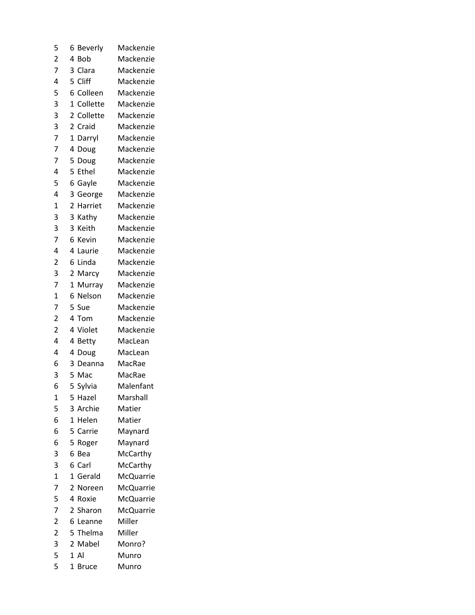| 5                       | 6<br>Beverly                 | Mackenzie        |
|-------------------------|------------------------------|------------------|
| $\overline{c}$          | 4<br>Bob                     | Mackenzie        |
| 7                       | 3<br>Clara                   | Mackenzie        |
| 4                       | 5<br>Cliff                   | Mackenzie        |
| 5                       | 6<br>Colleen                 | Mackenzie        |
| 3                       | $\overline{1}$<br>Collette   | Mackenzie        |
| 3                       | $\overline{2}$<br>Collette   | Mackenzie        |
| 3                       | $\overline{2}$<br>Craid      | Mackenzie        |
| 7                       | $\overline{1}$<br>Darryl     | Mackenzie        |
| 7                       | 4<br>Doug                    | Mackenzie        |
| 7                       | 5<br>Doug                    | Mackenzie        |
| 4                       | 5<br>Ethel                   | Mackenzie        |
| 5                       | 6<br>Gayle                   | Mackenzie        |
| 4                       | 3<br>George                  | Mackenzie        |
| $\mathbf{1}$            | 2<br>Harriet                 | Mackenzie        |
| 3                       | 3<br>Kathy                   | Mackenzie        |
| 3                       | 3<br>Keith                   | Mackenzie        |
| 7                       | 6<br>Kevin                   | Mackenzie        |
| 4                       | 4<br>Laurie                  | Mackenzie        |
| $\overline{c}$          | 6<br>Linda                   | Mackenzie        |
| 3                       | 2<br>Marcy                   | Mackenzie        |
| 7                       | 1<br>Murray                  | Mackenzie        |
| $\overline{1}$          | 6<br>Nelson                  | Mackenzie        |
| 7                       | 5<br>Sue                     | Mackenzie        |
| $\overline{c}$          | 4<br>Tom                     | Mackenzie        |
| $\overline{c}$          | 4<br>Violet                  | Mackenzie        |
| 4                       | 4<br><b>Betty</b>            | MacLean          |
| 4                       | 4<br>Doug                    | MacLean          |
| 6                       | 3<br>Deanna                  | MacRae           |
| 3                       | 5<br>Mac                     | MacRae           |
| 6                       | 5<br>Sylvia                  | Malenfant        |
| 1                       | 5<br>Hazel                   | Marshall         |
| 5                       | 3 Archie                     | Matier           |
| 6                       | $\mathbf{1}$<br>Helen        | Matier           |
| 6                       | 5<br>Carrie                  | Maynard          |
| 6                       | 5<br>Roger                   | Maynard          |
| 3                       | 6<br>Bea                     | McCarthy         |
| 3                       | 6<br>Carl                    | McCarthy         |
| $\overline{1}$          | 1<br>Gerald                  | McQuarrie        |
| 7                       | 2<br>Noreen                  | <b>McQuarrie</b> |
| 5                       | 4<br>Roxie                   | <b>McQuarrie</b> |
| 7                       | 2 Sharon                     | <b>McQuarrie</b> |
| $\overline{\mathbf{c}}$ | 6<br>Leanne                  | Miller           |
| $\overline{\mathbf{c}}$ | 5 Thelma                     | Miller           |
| $\overline{\mathbf{3}}$ | 2<br>Mabel                   | Monro?           |
| 5                       | 1A                           | Munro            |
| 5                       | $\mathbf{1}$<br><b>Bruce</b> | Munro            |
|                         |                              |                  |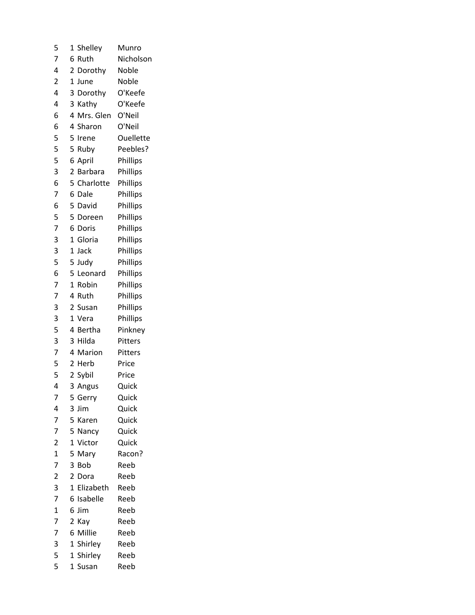| 5                       | Shelley<br>1           | Munro            |
|-------------------------|------------------------|------------------|
| 7                       | 6 Ruth                 | Nicholson        |
| 4                       | 2 Dorothy              | Noble            |
| $\overline{2}$          | 1 June                 | Noble            |
| 4                       | 3<br>Dorothy           | O'Keefe          |
| 4                       | 3 Kathy                | O'Keefe          |
| 6                       | 4 Mrs. Glen            | O'Neil           |
| 6                       | 4 Sharon               | O'Neil           |
| 5                       | 5<br>Irene             | <b>Ouellette</b> |
| 5                       | 5<br>Ruby              | Peebles?         |
| 5                       | 6 April                | Phillips         |
| 3                       | 2<br><b>Barbara</b>    | Phillips         |
| 6                       | 5 Charlotte            | Phillips         |
| 7                       | 6 Dale                 | Phillips         |
| 6                       | 5 David                | Phillips         |
| 5                       | 5 Doreen               | Phillips         |
| 7                       | 6 Doris                | Phillips         |
| 3                       | 1 Gloria               | Phillips         |
| 3                       | 1<br>Jack              | Phillips         |
| 5                       | 5 Judy                 | Phillips         |
| 6                       | 5 Leonard              | Phillips         |
| 7                       | 1 Robin                | Phillips         |
| 7                       | 4 Ruth                 | Phillips         |
| 3                       | 2 Susan                | Phillips         |
| 3                       | 1 Vera                 | Phillips         |
| 5                       | 4 Bertha               | Pinkney          |
| 3                       | 3 Hilda                | Pitters          |
| $\overline{7}$          | 4 Marion               | Pitters          |
| 5                       | 2 Herb                 | Price            |
| 5                       | 2 Sybil                | Price            |
| 4                       | 3 Angus                | Quick            |
| 7                       | 5<br>Gerry             | Quick            |
| 4                       | 3 Jim                  | Quick            |
| 7                       | 5 Karen                | Quick            |
| 7                       | 5<br>Nancy             | Quick            |
| $\overline{\mathbf{c}}$ | $\mathbf{1}$<br>Victor | Quick            |
| $\overline{1}$          | 5<br>Mary              | Racon?           |
| 7                       | 3<br>Bob               | Reeb             |
| $\overline{\mathbf{c}}$ | 2 Dora                 | Reeb             |
| 3                       | 1 Elizabeth            | Reeb             |
| $\overline{7}$          | 6 Isabelle             | Reeb             |
| $\mathbf 1$             | 6 Jim                  | Reeb             |
| 7                       | 2<br>Kay               | Reeb             |
| 7                       | 6 Millie               | Reeb             |
| 3                       | 1 Shirley              | Reeb             |
| 5                       | 1 Shirley              | Reeb             |
| 5                       | 1 Susan                | Reeb             |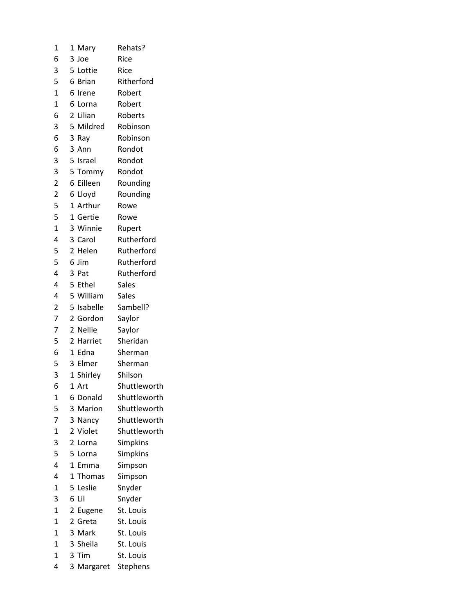| 1              | 1 | Mary              | Rehats?      |
|----------------|---|-------------------|--------------|
| 6              |   | 3 Joe             | Rice         |
| 3              |   | 5 Lottie          | Rice         |
| 5              |   | 6 Brian           | Ritherford   |
| $\mathbf{1}$   |   | 6 Irene           | Robert       |
| $\mathbf{1}$   |   | 6 Lorna           | Robert       |
| 6              | 2 | Lilian            | Roberts      |
| 3              |   | 5 Mildred         | Robinson     |
| 6              |   | 3 Ray             | Robinson     |
| 6              |   | 3 Ann             | Rondot       |
| 3              |   | 5 Israel          | Rondot       |
| 3              |   | 5 Tommy           | Rondot       |
| $\overline{c}$ |   | 6 Eilleen         | Rounding     |
| $\overline{c}$ |   | 6 Lloyd           | Rounding     |
| 5              |   | 1 Arthur          | Rowe         |
| 5              |   | 1 Gertie          | Rowe         |
| $\overline{1}$ |   | 3 Winnie          | Rupert       |
| 4              |   | 3 Carol           | Rutherford   |
| 5              |   | 2 Helen           | Rutherford   |
| 5              |   | 6 Jim             | Rutherford   |
| 4              |   | 3 Pat             | Rutherford   |
| 4              |   | 5 Ethel           | Sales        |
| 4              |   | 5 William         | <b>Sales</b> |
| $\overline{c}$ |   | 5 Isabelle        | Sambell?     |
| $\overline{7}$ |   | 2 Gordon          | Saylor       |
| $\overline{7}$ | 2 | Nellie            | Saylor       |
| 5              |   | 2 Harriet         | Sheridan     |
| 6              |   | 1 Edna            | Sherman      |
| 5              |   | 3 Elmer           | Sherman      |
| 3              |   | 1 Shirley         | Shilson      |
| 6              |   | 1 Art             | Shuttleworth |
| 1              | 6 | Donald            | Shuttleworth |
| 5              |   | 3 Marion          | Shuttleworth |
| 7              | 3 |                   | Shuttleworth |
| $\mathbf{1}$   |   | Nancy<br>2 Violet | Shuttleworth |
| 3              |   | 2 Lorna           | Simpkins     |
| 5              | 5 | Lorna             |              |
| 4              |   |                   | Simpkins     |
| 4              | 1 | Emma              | Simpson      |
|                | 1 | Thomas            | Simpson      |
| 1              |   | 5 Leslie          | Snyder       |
| 3              | 6 | Lil               | Snyder       |
| $\overline{1}$ | 2 | Eugene            | St. Louis    |
| 1              |   | 2 Greta           | St. Louis    |
| $\overline{1}$ |   | 3 Mark            | St. Louis    |
| 1              |   | 3 Sheila          | St. Louis    |
| $\overline{1}$ |   | 3 Tim             | St. Louis    |
| 4              |   | 3 Margaret        | Stephens     |
|                |   |                   |              |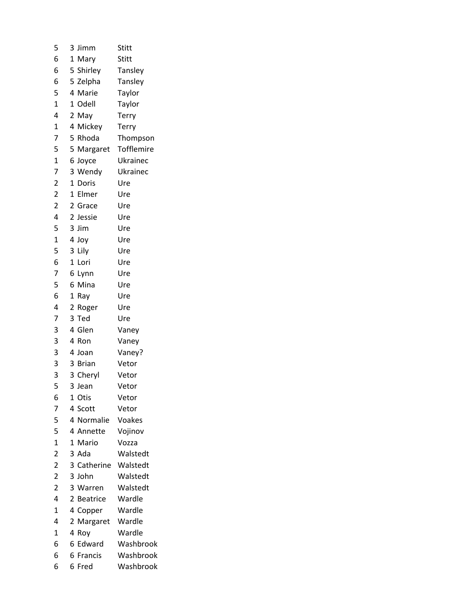| 5                       | Jimm<br>3                         | Stitt      |
|-------------------------|-----------------------------------|------------|
| 6                       | 1 Mary                            | Stitt      |
| 6                       | 5 Shirley                         | Tansley    |
| 6                       | 5 Zelpha                          | Tansley    |
| 5                       | 4 Marie                           | Taylor     |
| $\overline{1}$          | 1 Odell                           | Taylor     |
| 4                       | 2 May                             | Terry      |
| $\mathbf{1}$            | 4 Mickey                          | Terry      |
| 7                       | 5 Rhoda                           | Thompson   |
| 5                       | 5 Margaret                        | Tofflemire |
| $\overline{1}$          | 6 Joyce                           | Ukrainec   |
| 7                       | 3 Wendy                           | Ukrainec   |
| $\overline{\mathbf{c}}$ | 1 Doris                           | Ure        |
| $\overline{c}$          | 1<br>Elmer                        | Ure        |
| $\overline{c}$          | 2 Grace                           | Ure        |
| 4                       | 2 Jessie                          | Ure        |
| 5                       | 3 Jim                             | Ure        |
| $\mathbf 1$             | 4 Joy                             | Ure        |
| 5                       | 3<br>Lily                         | Ure        |
| 6                       | 1 Lori                            | Ure        |
| 7                       | 6 Lynn                            | Ure        |
| 5                       | 6 Mina                            | Ure        |
| 6                       | 1 Ray                             | Ure        |
| 4                       | 2<br>Roger                        | Ure        |
| 7                       | 3 Ted                             | Ure        |
| 3                       | 4 Glen                            | Vaney      |
| 3                       | 4 Ron                             | Vaney      |
| 3                       | 4 Joan                            | Vaney?     |
| 3                       | 3 Brian                           | Vetor      |
| 3                       | 3 Cheryl                          | Vetor      |
| 5                       | 3 Jean                            | Vetor      |
| 6                       | Otis<br>1                         | Vetor      |
| 7                       | 4 Scott                           | Vetor      |
| 5                       | 4 Normalie                        | Voakes     |
| 5                       | 4 Annette                         | Vojinov    |
| $\overline{1}$          | $\mathbf{1}$<br>Mario             | Vozza      |
| $\overline{2}$          | 3 Ada                             | Walstedt   |
| $\overline{\mathbf{c}}$ | 3 Catherine                       | Walstedt   |
| $\overline{2}$          | 3 John                            | Walstedt   |
| $\overline{2}$          | 3 Warren                          | Walstedt   |
| 4                       | $\overline{2}$<br><b>Beatrice</b> | Wardle     |
| $\overline{1}$          | 4 Copper                          | Wardle     |
| 4                       | 2<br>Margaret                     | Wardle     |
| 1                       | 4<br>Roy                          | Wardle     |
| 6                       | Edward<br>6                       | Washbrook  |
| 6                       | 6 Francis                         | Washbrook  |
| 6                       | 6 Fred                            | Washbrook  |